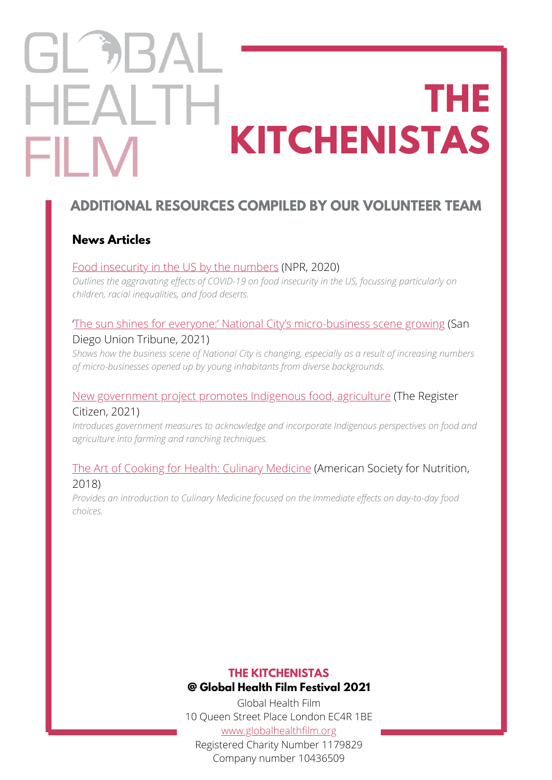# GL DBA **HEALTH THE KITCHENISTAS** FII M

# **ADDITIONAL RESOURCES COMPILED BY OUR VOLUNTEER TEAM**

### **News Articles**

#### [Food insecurity in the US by the numbers](https://www.npr.org/2020/09/27/912486921/food-insecurity-in-the-u-s-by-the-numbers?t=1637769448415) (NPR, 2020)

*Outlines the aggravating effects of COVID-19 on food insecurity in the US, focussing particularly on children, racial inequalities, and food deserts.*

#### '[The sun shines for everyone:' National City's micro-business scene growing](https://www.sandiegouniontribune.com/communities/south-county/national-city/story/2021-11-21/the-sun-shines-for-everyone-national-citys-micro-business-scene-growing) (San Diego Union Tribune, 2021)

*Shows how the business scene of National City is changing, especially as a result of increasing numbers of micro-businesses opened up by young inhabitants from diverse backgrounds.*

#### [New government project promotes Indigenous food, agriculture](https://www.registercitizen.com/news/article/New-government-project-promotes-Indigenous-food-16628561.php) (The Register Citizen, 2021)

*Introduces government measures to acknowledge and incorporate Indigenous perspectives on food and agriculture into farming and ranching techniques.*

#### [The Art of Cooking for Health: Culinary Medicine](https://nutrition.org/the-art-of-cooking-for-health-culinary-medicine/) (American Society for Nutrition, 2018)

*Provides an introduction to Culinary Medicine focused on the immediate effects on day-to-day food choices.*

#### **THE KITCHENISTAS @ Global Health Film Festival 2021**

Global Health Film 10 Queen Street Place London EC4R 1BE [www.globalhealthfilm.org](http://globalhealthfilm.org/) Registered Charity Number 1179829 Company number 10436509